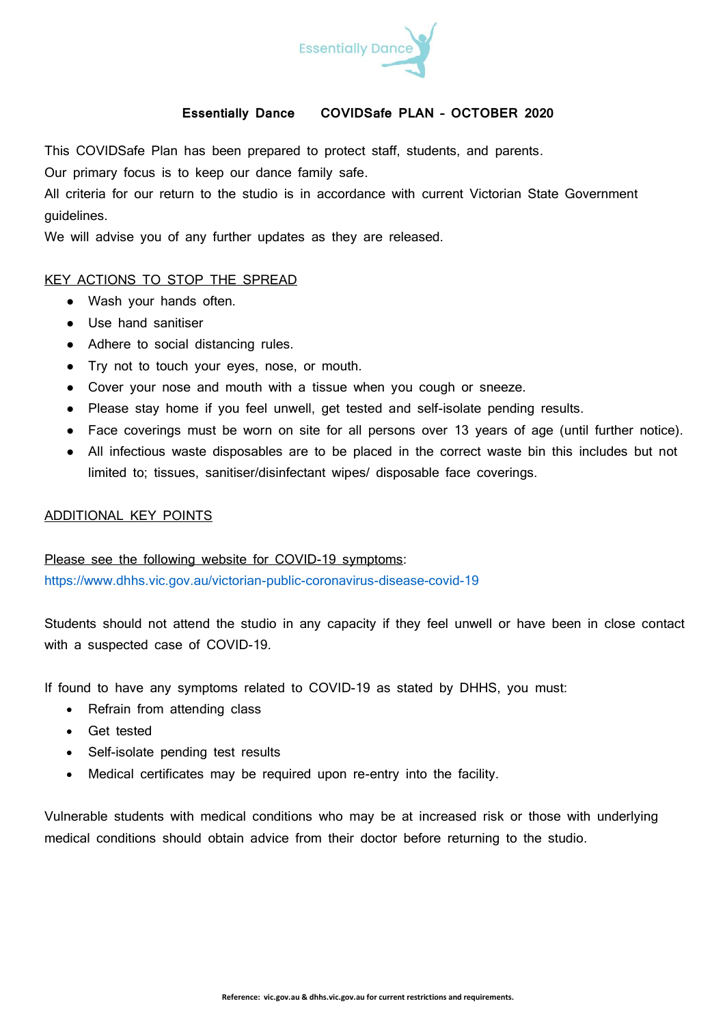

# **Essentially Dance COVIDSafe PLAN – OCTOBER 2020**

This COVIDSafe Plan has been prepared to protect staff, students, and parents.

Our primary focus is to keep our dance family safe.

All criteria for our return to the studio is in accordance with current Victorian State Government guidelines.

We will advise you of any further updates as they are released.

# KEY ACTIONS TO STOP THE SPREAD

- Wash your hands often.
- Use hand sanitiser
- Adhere to social distancing rules.
- Try not to touch your eyes, nose, or mouth.
- Cover your nose and mouth with a tissue when you cough or sneeze.
- Please stay home if you feel unwell, get tested and self-isolate pending results.
- Face coverings must be worn on site for all persons over 13 years of age (until further notice).
- All infectious waste disposables are to be placed in the correct waste bin this includes but not limited to; tissues, sanitiser/disinfectant wipes/ disposable face coverings.

#### ADDITIONAL KEY POINTS

#### Please see the following website for COVID-19 symptoms:

<https://www.dhhs.vic.gov.au/victorian-public-coronavirus-disease-covid-19>

Students should not attend the studio in any capacity if they feel unwell or have been in close contact with a suspected case of COVID-19.

If found to have any symptoms related to COVID-19 as stated by DHHS, you must:

- Refrain from attending class
- Get tested
- Self-isolate pending test results
- Medical certificates may be required upon re-entry into the facility.

Vulnerable students with medical conditions who may be at increased risk or those with underlying medical conditions should obtain advice from their doctor before returning to the studio.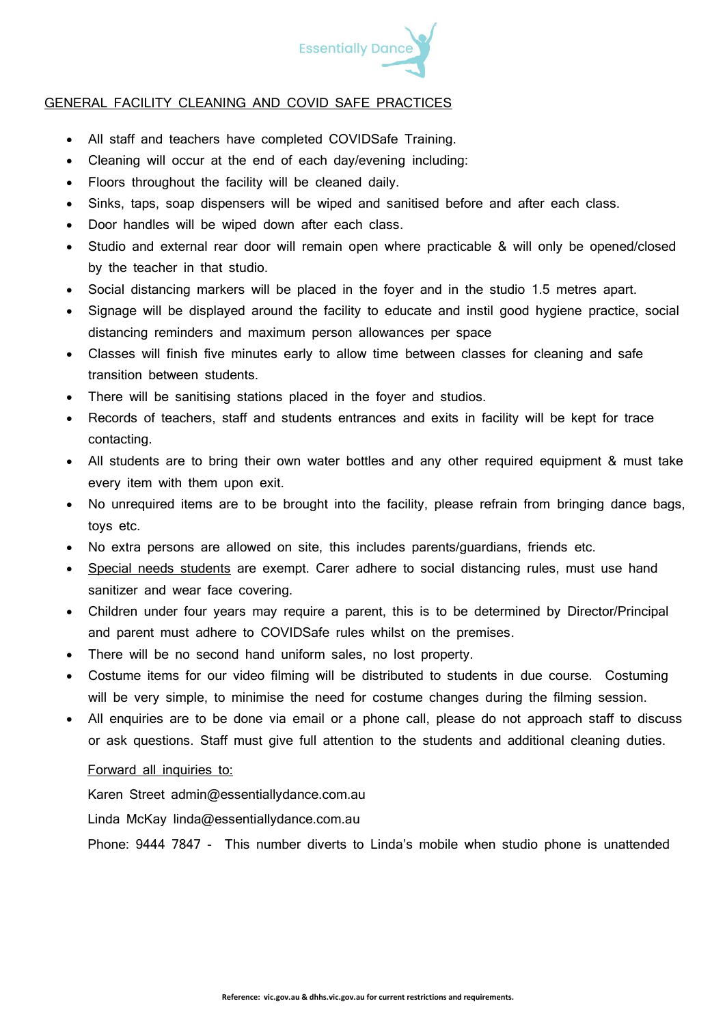

# GENERAL FACILITY CLEANING AND COVID SAFE PRACTICES

- All staff and teachers have completed COVIDSafe Training.
- Cleaning will occur at the end of each day/evening including:
- Floors throughout the facility will be cleaned daily.
- Sinks, taps, soap dispensers will be wiped and sanitised before and after each class.
- Door handles will be wiped down after each class.
- Studio and external rear door will remain open where practicable & will only be opened/closed by the teacher in that studio.
- Social distancing markers will be placed in the foyer and in the studio 1.5 metres apart.
- Signage will be displayed around the facility to educate and instil good hygiene practice, social distancing reminders and maximum person allowances per space
- Classes will finish five minutes early to allow time between classes for cleaning and safe transition between students.
- There will be sanitising stations placed in the foyer and studios.
- Records of teachers, staff and students entrances and exits in facility will be kept for trace contacting.
- All students are to bring their own water bottles and any other required equipment & must take every item with them upon exit.
- No unrequired items are to be brought into the facility, please refrain from bringing dance bags, toys etc.
- No extra persons are allowed on site, this includes parents/guardians, friends etc.
- Special needs students are exempt. Carer adhere to social distancing rules, must use hand sanitizer and wear face covering.
- Children under four years may require a parent, this is to be determined by Director/Principal and parent must adhere to COVIDSafe rules whilst on the premises.
- There will be no second hand uniform sales, no lost property.
- Costume items for our video filming will be distributed to students in due course. Costuming will be very simple, to minimise the need for costume changes during the filming session.
- All enquiries are to be done via email or a phone call, please do not approach staff to discuss or ask questions. Staff must give full attention to the students and additional cleaning duties.

#### Forward all inquiries to:

Karen Street admin@essentiallydance.com.au

Linda McKay linda@essentiallydance.com.au

Phone: 9444 7847 - This number diverts to Linda's mobile when studio phone is unattended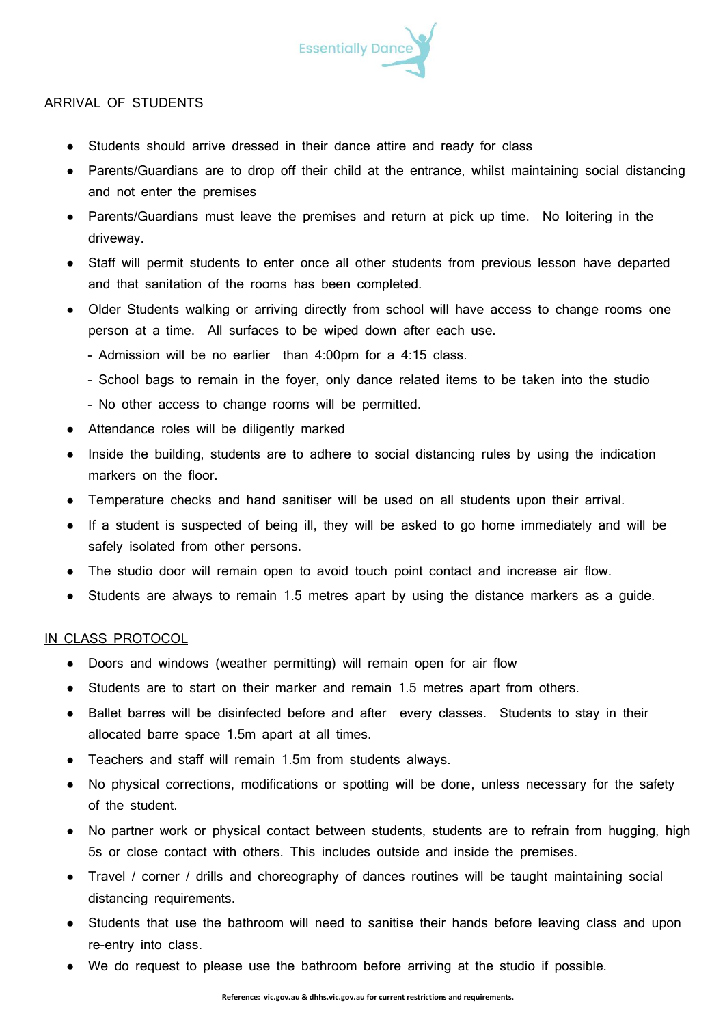

#### ARRIVAL OF STUDENTS

- Students should arrive dressed in their dance attire and ready for class
- Parents/Guardians are to drop off their child at the entrance, whilst maintaining social distancing and not enter the premises
- Parents/Guardians must leave the premises and return at pick up time. No loitering in the driveway.
- Staff will permit students to enter once all other students from previous lesson have departed and that sanitation of the rooms has been completed.
- Older Students walking or arriving directly from school will have access to change rooms one person at a time. All surfaces to be wiped down after each use.
	- Admission will be no earlier than 4:00pm for a 4:15 class.
	- School bags to remain in the foyer, only dance related items to be taken into the studio
	- No other access to change rooms will be permitted.
- Attendance roles will be diligently marked
- Inside the building, students are to adhere to social distancing rules by using the indication markers on the floor.
- Temperature checks and hand sanitiser will be used on all students upon their arrival.
- If a student is suspected of being ill, they will be asked to go home immediately and will be safely isolated from other persons.
- The studio door will remain open to avoid touch point contact and increase air flow.
- Students are always to remain 1.5 metres apart by using the distance markers as a guide.

#### IN CLASS PROTOCOL

- Doors and windows (weather permitting) will remain open for air flow
- Students are to start on their marker and remain 1.5 metres apart from others.
- Ballet barres will be disinfected before and after every classes. Students to stay in their allocated barre space 1.5m apart at all times.
- Teachers and staff will remain 1.5m from students always.
- No physical corrections, modifications or spotting will be done, unless necessary for the safety of the student.
- No partner work or physical contact between students, students are to refrain from hugging, high 5s or close contact with others. This includes outside and inside the premises.
- Travel / corner / drills and choreography of dances routines will be taught maintaining social distancing requirements.
- Students that use the bathroom will need to sanitise their hands before leaving class and upon re-entry into class.
- We do request to please use the bathroom before arriving at the studio if possible.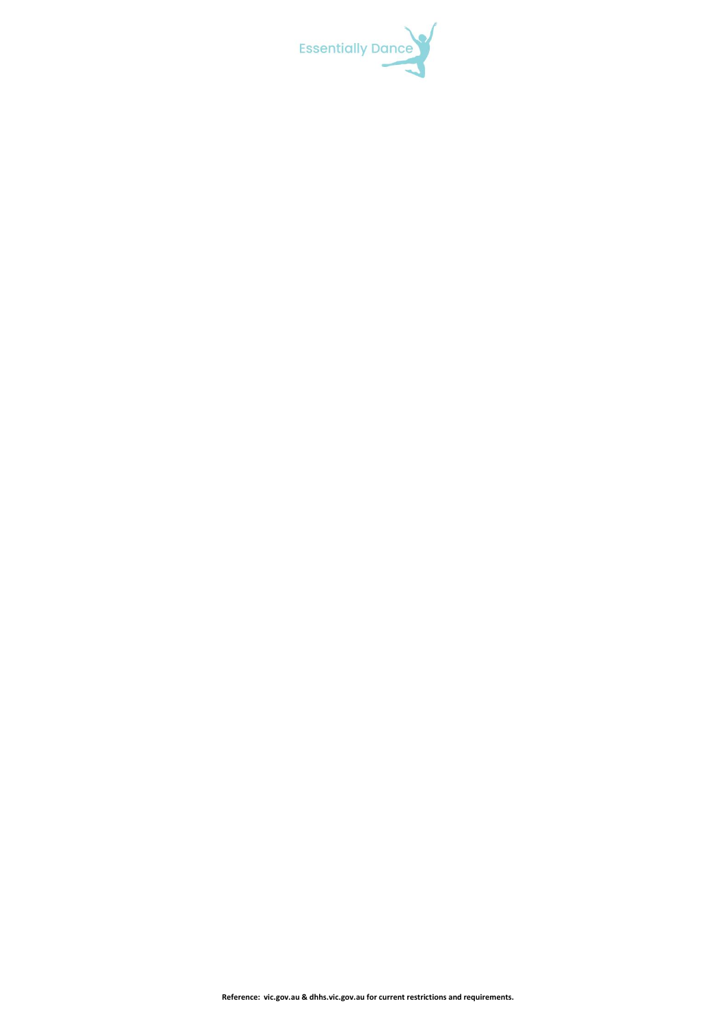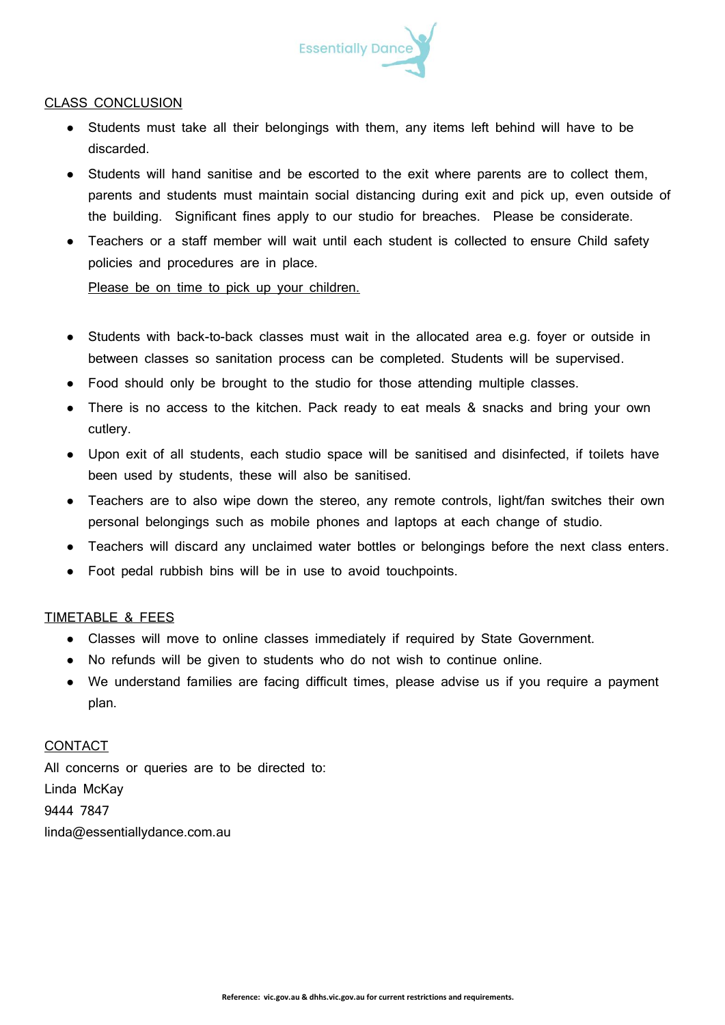

# CLASS CONCLUSION

- Students must take all their belongings with them, any items left behind will have to be discarded.
- Students will hand sanitise and be escorted to the exit where parents are to collect them, parents and students must maintain social distancing during exit and pick up, even outside of the building. Significant fines apply to our studio for breaches. Please be considerate.
- Teachers or a staff member will wait until each student is collected to ensure Child safety policies and procedures are in place.

Please be on time to pick up your children.

- Students with back-to-back classes must wait in the allocated area e.g. foyer or outside in between classes so sanitation process can be completed. Students will be supervised.
- Food should only be brought to the studio for those attending multiple classes.
- There is no access to the kitchen. Pack ready to eat meals & snacks and bring your own cutlery.
- Upon exit of all students, each studio space will be sanitised and disinfected, if toilets have been used by students, these will also be sanitised.
- Teachers are to also wipe down the stereo, any remote controls, light/fan switches their own personal belongings such as mobile phones and laptops at each change of studio.
- Teachers will discard any unclaimed water bottles or belongings before the next class enters.
- Foot pedal rubbish bins will be in use to avoid touchpoints.

#### TIMETABLE & FEES

- Classes will move to online classes immediately if required by State Government.
- No refunds will be given to students who do not wish to continue online.
- We understand families are facing difficult times, please advise us if you require a payment plan.

# CONTACT

All concerns or queries are to be directed to: Linda McKay 9444 7847 linda@essentiallydance.com.au